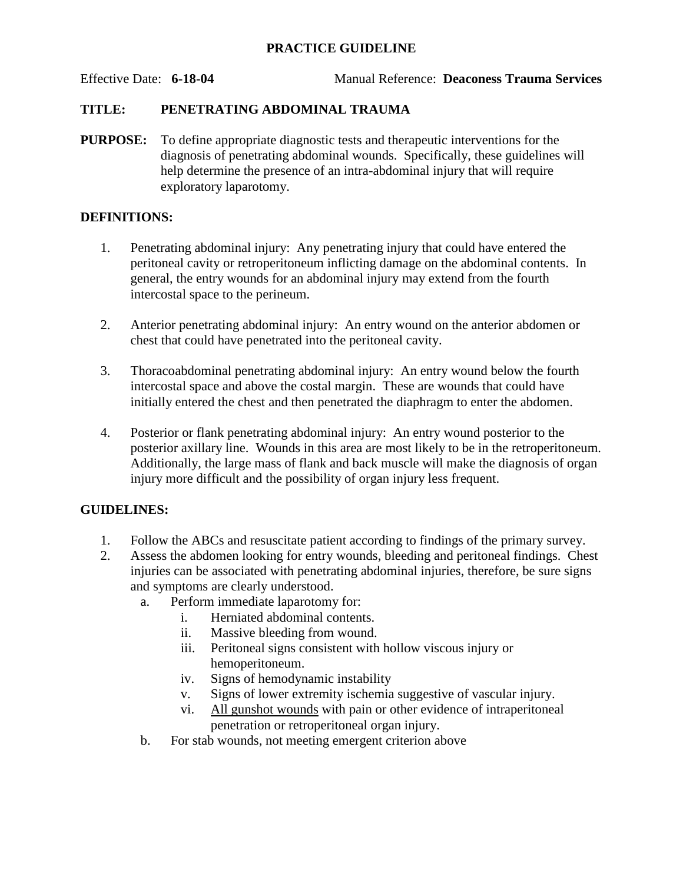## **PRACTICE GUIDELINE**

# **TITLE: PENETRATING ABDOMINAL TRAUMA**

**PURPOSE:** To define appropriate diagnostic tests and therapeutic interventions for the diagnosis of penetrating abdominal wounds. Specifically, these guidelines will help determine the presence of an intra-abdominal injury that will require exploratory laparotomy.

## **DEFINITIONS:**

- 1. Penetrating abdominal injury: Any penetrating injury that could have entered the peritoneal cavity or retroperitoneum inflicting damage on the abdominal contents. In general, the entry wounds for an abdominal injury may extend from the fourth intercostal space to the perineum.
- 2. Anterior penetrating abdominal injury: An entry wound on the anterior abdomen or chest that could have penetrated into the peritoneal cavity.
- 3. Thoracoabdominal penetrating abdominal injury: An entry wound below the fourth intercostal space and above the costal margin. These are wounds that could have initially entered the chest and then penetrated the diaphragm to enter the abdomen.
- 4. Posterior or flank penetrating abdominal injury: An entry wound posterior to the posterior axillary line. Wounds in this area are most likely to be in the retroperitoneum. Additionally, the large mass of flank and back muscle will make the diagnosis of organ injury more difficult and the possibility of organ injury less frequent.

# **GUIDELINES:**

- 1. Follow the ABCs and resuscitate patient according to findings of the primary survey.
- 2. Assess the abdomen looking for entry wounds, bleeding and peritoneal findings. Chest injuries can be associated with penetrating abdominal injuries, therefore, be sure signs and symptoms are clearly understood.
	- a. Perform immediate laparotomy for:
		- i. Herniated abdominal contents.
		- ii. Massive bleeding from wound.
		- iii. Peritoneal signs consistent with hollow viscous injury or hemoperitoneum.
		- iv. Signs of hemodynamic instability
		- v. Signs of lower extremity ischemia suggestive of vascular injury.
		- vi. All gunshot wounds with pain or other evidence of intraperitoneal penetration or retroperitoneal organ injury.
	- b. For stab wounds, not meeting emergent criterion above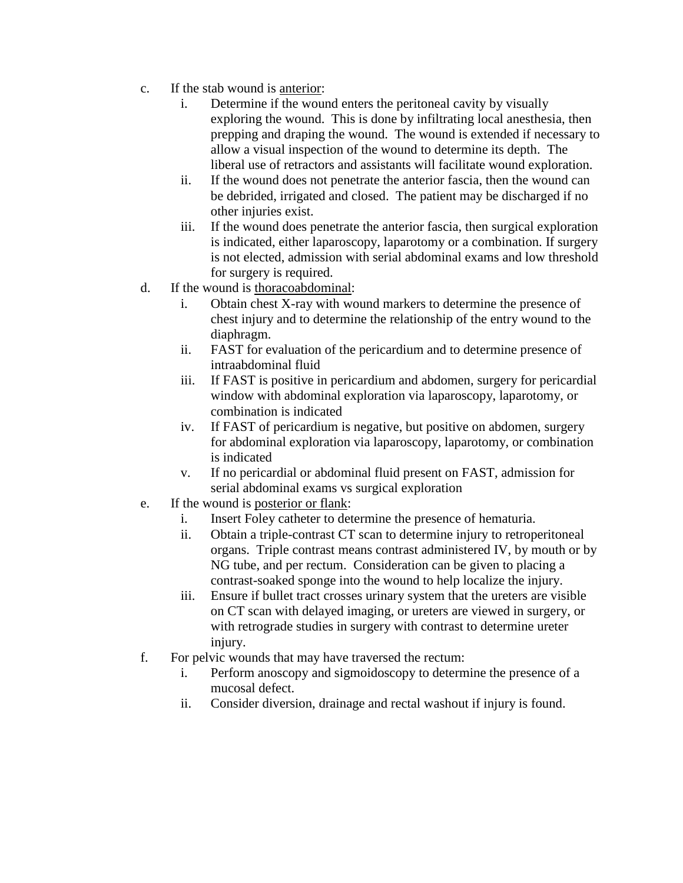- c. If the stab wound is anterior:
	- i. Determine if the wound enters the peritoneal cavity by visually exploring the wound. This is done by infiltrating local anesthesia, then prepping and draping the wound. The wound is extended if necessary to allow a visual inspection of the wound to determine its depth. The liberal use of retractors and assistants will facilitate wound exploration.
	- ii. If the wound does not penetrate the anterior fascia, then the wound can be debrided, irrigated and closed. The patient may be discharged if no other injuries exist.
	- iii. If the wound does penetrate the anterior fascia, then surgical exploration is indicated, either laparoscopy, laparotomy or a combination. If surgery is not elected, admission with serial abdominal exams and low threshold for surgery is required.
- d. If the wound is thoracoabdominal:
	- i. Obtain chest X-ray with wound markers to determine the presence of chest injury and to determine the relationship of the entry wound to the diaphragm.
	- ii. FAST for evaluation of the pericardium and to determine presence of intraabdominal fluid
	- iii. If FAST is positive in pericardium and abdomen, surgery for pericardial window with abdominal exploration via laparoscopy, laparotomy, or combination is indicated
	- iv. If FAST of pericardium is negative, but positive on abdomen, surgery for abdominal exploration via laparoscopy, laparotomy, or combination is indicated
	- v. If no pericardial or abdominal fluid present on FAST, admission for serial abdominal exams vs surgical exploration
- e. If the wound is posterior or flank:
	- i. Insert Foley catheter to determine the presence of hematuria.
	- ii. Obtain a triple-contrast CT scan to determine injury to retroperitoneal organs. Triple contrast means contrast administered IV, by mouth or by NG tube, and per rectum. Consideration can be given to placing a contrast-soaked sponge into the wound to help localize the injury.
	- iii. Ensure if bullet tract crosses urinary system that the ureters are visible on CT scan with delayed imaging, or ureters are viewed in surgery, or with retrograde studies in surgery with contrast to determine ureter injury.
- f. For pelvic wounds that may have traversed the rectum:
	- i. Perform anoscopy and sigmoidoscopy to determine the presence of a mucosal defect.
	- ii. Consider diversion, drainage and rectal washout if injury is found.